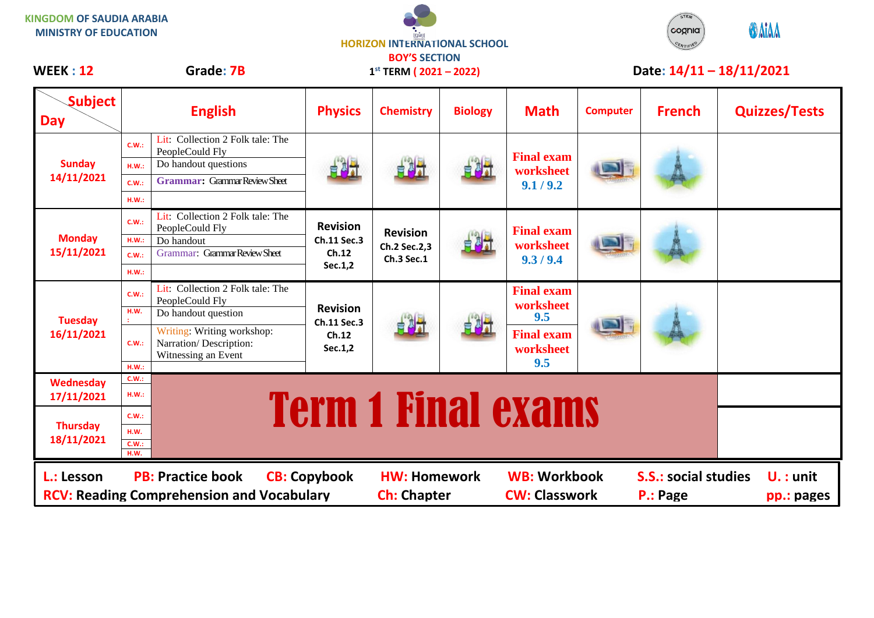| WEEK: 12                      |               | Grade: 7B                                                                   | <b>HORIZON INTERNATIONAL SCHOOL</b><br><b>BOY'S SECTION</b><br>$1^{st}$ TERM (2021 – 2022) |                  |                |                                | Date: $14/11 - 18/11/2021$ |               |                      |
|-------------------------------|---------------|-----------------------------------------------------------------------------|--------------------------------------------------------------------------------------------|------------------|----------------|--------------------------------|----------------------------|---------------|----------------------|
| <b>Subject</b><br><b>Day</b>  |               | <b>English</b>                                                              | <b>Physics</b>                                                                             | <b>Chemistry</b> | <b>Biology</b> | <b>Math</b>                    | <b>Computer</b>            | <b>French</b> | <b>Quizzes/Tests</b> |
| <b>Sunday</b><br>14/11/2021   | C.W.:         | Lit: Collection 2 Folk tale: The<br>PeopleCould Fly                         | 自制社                                                                                        |                  | 自調式            | <b>Final exam</b>              |                            |               |                      |
|                               | HM.:          | Do handout questions                                                        |                                                                                            | 部                |                | worksheet                      |                            |               |                      |
|                               | C.W.:         | <b>Grammar:</b> Grammar Review Sheet                                        |                                                                                            |                  |                | 9.1 / 9.2                      |                            |               |                      |
|                               | H.W.:         |                                                                             |                                                                                            |                  |                |                                |                            |               |                      |
|                               | C.W.:         | Lit: Collection 2 Folk tale: The<br>PeopleCould Fly                         | <b>Revision</b>                                                                            | <b>Revision</b>  |                | <b>Final exam</b>              |                            |               |                      |
| <b>Monday</b>                 | H.W.:         | Do handout                                                                  | Ch.11 Sec.3<br>Ch.12<br>Sec.1,2                                                            | Ch.2 Sec.2,3     | 自調式            | worksheet                      |                            |               |                      |
| 15/11/2021                    | C.W.:         | Grammar: Grammar Review Sheet                                               |                                                                                            | Ch.3 Sec.1       |                | 9.3/9.4                        |                            |               |                      |
|                               | H.W.:         |                                                                             |                                                                                            |                  |                |                                |                            |               |                      |
|                               | C.W.:         | Lit: Collection 2 Folk tale: The<br>PeopleCould Fly                         | <b>Revision</b><br><b>Ch.11 Sec.3</b><br>Ch.12<br>Sec.1,2                                  |                  |                | <b>Final exam</b><br>worksheet |                            |               |                      |
| <b>Tuesday</b>                | H.W.          | Do handout question                                                         |                                                                                            |                  |                | 9.5                            |                            |               |                      |
| 16/11/2021                    | C.W.:         | Writing: Writing workshop:<br>Narration/Description:<br>Witnessing an Event |                                                                                            | 自测计              |                | <b>Final exam</b><br>worksheet |                            |               |                      |
|                               | H.W.:         |                                                                             |                                                                                            |                  |                | 9.5                            |                            |               |                      |
| <b>Wednesday</b>              | C.W.:         |                                                                             |                                                                                            |                  |                |                                |                            |               |                      |
| 17/11/2021                    | H.W.:         |                                                                             |                                                                                            |                  |                |                                |                            |               |                      |
|                               | C.W.:         |                                                                             |                                                                                            |                  |                | <b>Term 1 Final exams</b>      |                            |               |                      |
| <b>Thursday</b><br>18/11/2021 | H.W.          |                                                                             |                                                                                            |                  |                |                                |                            |               |                      |
|                               | C.W.:<br>H.W. |                                                                             |                                                                                            |                  |                |                                |                            |               |                      |